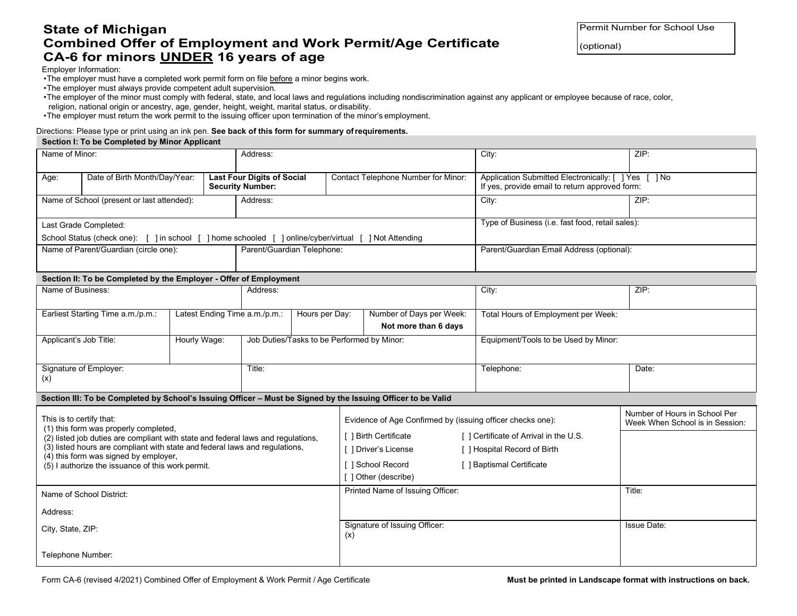# **State of Michigan Combined Offer of Employment and Work Permit/Age Certificate CA-6 for minors UNDER 16 years of age**

Permit Number for School Use

(optional)

Employer Information:

•The employer must have a completed work permit form on file before a minor begins work.

•The employer must always provide competent adult supervision.

•The employer of the minor must comply with federal, state, and local laws and regulations including nondiscrimination against any applicant or employee because of race, color, religion, national origin or ancestry, age, gender, height, weight, marital status, or disability.

•The employer must return the work permit to the issuing officer upon termination of the minor's employment.

#### Directions: Please type or print using an ink pen. **See back of this form for summary ofrequirements.**

#### **Section I: To be Completed by Minor Applicant**

| Name of Minor:                                                                                                                                                                                                                                                                |                                                                                                       |                | Address:                                                     |                                                  |                                                                                                           |                                     | City:                                                                                                  | ZIP:                                                             |  |
|-------------------------------------------------------------------------------------------------------------------------------------------------------------------------------------------------------------------------------------------------------------------------------|-------------------------------------------------------------------------------------------------------|----------------|--------------------------------------------------------------|--------------------------------------------------|-----------------------------------------------------------------------------------------------------------|-------------------------------------|--------------------------------------------------------------------------------------------------------|------------------------------------------------------------------|--|
| Age:                                                                                                                                                                                                                                                                          | Date of Birth Month/Day/Year:                                                                         |                | <b>Last Four Digits of Social</b><br><b>Security Number:</b> |                                                  | Contact Telephone Number for Minor:                                                                       |                                     | Application Submitted Electronically: [ ] Yes [ ] No<br>If yes, provide email to return approved form: |                                                                  |  |
| Name of School (present or last attended):<br>Address:                                                                                                                                                                                                                        |                                                                                                       |                |                                                              |                                                  |                                                                                                           |                                     | City:                                                                                                  | ZIP:                                                             |  |
| Last Grade Completed:                                                                                                                                                                                                                                                         |                                                                                                       |                |                                                              |                                                  |                                                                                                           |                                     | Type of Business (i.e. fast food, retail sales):                                                       |                                                                  |  |
|                                                                                                                                                                                                                                                                               | School Status (check one): [ ] in school [ ] home schooled [ ] online/cyber/virtual [ ] Not Attending |                |                                                              |                                                  |                                                                                                           |                                     |                                                                                                        |                                                                  |  |
| Name of Parent/Guardian (circle one):                                                                                                                                                                                                                                         |                                                                                                       |                |                                                              | Parent/Guardian Telephone:                       |                                                                                                           |                                     | Parent/Guardian Email Address (optional):                                                              |                                                                  |  |
| Section II: To be Completed by the Employer - Offer of Employment                                                                                                                                                                                                             |                                                                                                       |                |                                                              |                                                  |                                                                                                           |                                     |                                                                                                        |                                                                  |  |
| Name of Business:                                                                                                                                                                                                                                                             |                                                                                                       |                | Address:                                                     |                                                  |                                                                                                           |                                     | City:                                                                                                  | ZIP:                                                             |  |
| Latest Ending Time a.m./p.m.:<br>Earliest Starting Time a.m./p.m.:                                                                                                                                                                                                            |                                                                                                       | Hours per Day: |                                                              | Number of Days per Week:<br>Not more than 6 days |                                                                                                           | Total Hours of Employment per Week: |                                                                                                        |                                                                  |  |
| Hourly Wage:<br>Applicant's Job Title:                                                                                                                                                                                                                                        |                                                                                                       |                |                                                              | Job Duties/Tasks to be Performed by Minor:       |                                                                                                           |                                     | Equipment/Tools to be Used by Minor:                                                                   |                                                                  |  |
| Signature of Employer:<br>(x)                                                                                                                                                                                                                                                 |                                                                                                       |                | Title:                                                       |                                                  |                                                                                                           |                                     | Telephone:                                                                                             | Date:                                                            |  |
| Section III: To be Completed by School's Issuing Officer - Must be Signed by the Issuing Officer to be Valid                                                                                                                                                                  |                                                                                                       |                |                                                              |                                                  |                                                                                                           |                                     |                                                                                                        |                                                                  |  |
| This is to certify that:<br>(1) this form was properly completed,<br>(2) listed job duties are compliant with state and federal laws and regulations,<br>(3) listed hours are compliant with state and federal laws and regulations,<br>(4) this form was signed by employer, |                                                                                                       |                |                                                              |                                                  | Evidence of Age Confirmed by (issuing officer checks one):<br>[ ] Birth Certificate<br>] Driver's License |                                     |                                                                                                        | Number of Hours in School Per<br>Week When School is in Session: |  |
|                                                                                                                                                                                                                                                                               |                                                                                                       |                |                                                              |                                                  |                                                                                                           |                                     | [] Certificate of Arrival in the U.S.                                                                  |                                                                  |  |
|                                                                                                                                                                                                                                                                               |                                                                                                       |                |                                                              |                                                  |                                                                                                           |                                     | [ ] Hospital Record of Birth                                                                           |                                                                  |  |
| (5) I authorize the issuance of this work permit.                                                                                                                                                                                                                             |                                                                                                       |                |                                                              |                                                  | 1 School Record<br>[ ] Baptismal Certificate                                                              |                                     |                                                                                                        |                                                                  |  |
|                                                                                                                                                                                                                                                                               |                                                                                                       |                |                                                              | [ ] Other (describe)                             |                                                                                                           |                                     |                                                                                                        |                                                                  |  |
| Name of School District:                                                                                                                                                                                                                                                      |                                                                                                       |                |                                                              |                                                  | Printed Name of Issuing Officer:                                                                          |                                     |                                                                                                        | Title:                                                           |  |
| Address:                                                                                                                                                                                                                                                                      |                                                                                                       |                |                                                              |                                                  |                                                                                                           |                                     |                                                                                                        |                                                                  |  |
| City, State, ZIP:                                                                                                                                                                                                                                                             |                                                                                                       |                |                                                              |                                                  | Signature of Issuing Officer:<br>(x)                                                                      |                                     |                                                                                                        | <b>Issue Date:</b>                                               |  |
| Telephone Number:                                                                                                                                                                                                                                                             |                                                                                                       |                |                                                              |                                                  |                                                                                                           |                                     |                                                                                                        |                                                                  |  |